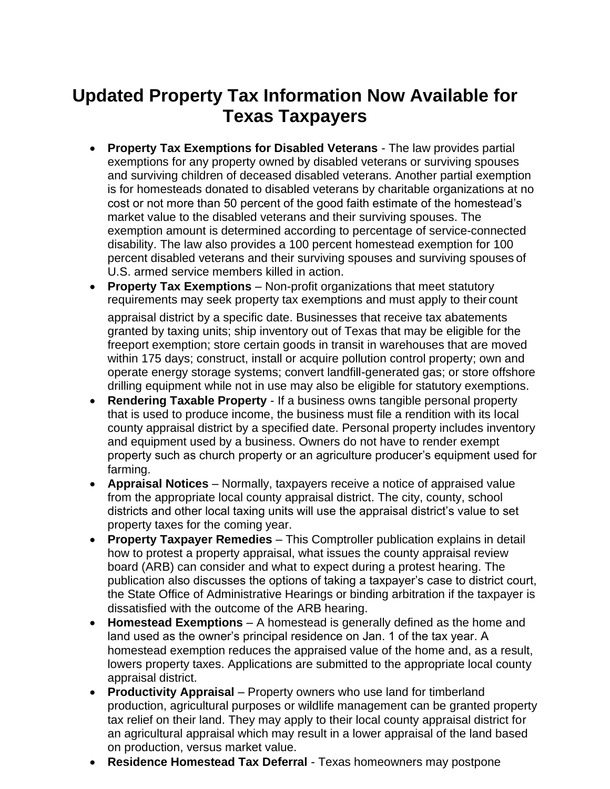## **Updated Property Tax Information Now Available for Texas Taxpayers**

- **Property Tax Exemptions for Disabled Veterans**  The law provides partial exemptions for any property owned by disabled veterans or surviving spouses and surviving children of deceased disabled veterans. Another partial exemption is for homesteads donated to disabled veterans by charitable organizations at no cost or not more than 50 percent of the good faith estimate of the homestead's market value to the disabled veterans and their surviving spouses. The exemption amount is determined according to percentage of service-connected disability. The law also provides a 100 percent homestead exemption for 100 percent disabled veterans and their surviving spouses and surviving spouses of U.S. armed service members killed in action.
- **Property Tax Exemptions**  Non-profit organizations that meet statutory requirements may seek property tax exemptions and must apply to their count appraisal district by a specific date. Businesses that receive tax abatements granted by taxing units; ship inventory out of Texas that may be eligible for the freeport exemption; store certain goods in transit in warehouses that are moved within 175 days; construct, install or acquire pollution control property; own and operate energy storage systems; convert landfill-generated gas; or store offshore drilling equipment while not in use may also be eligible for statutory exemptions.
- **Rendering Taxable Property**  If a business owns tangible personal property that is used to produce income, the business must file a rendition with its local county appraisal district by a specified date. Personal property includes inventory and equipment used by a business. Owners do not have to render exempt property such as church property or an agriculture producer's equipment used for farming.
- **Appraisal Notices**  Normally, taxpayers receive a notice of appraised value from the appropriate local county appraisal district. The city, county, school districts and other local taxing units will use the appraisal district's value to set property taxes for the coming year.
- **Property Taxpayer Remedies**  This Comptroller publication explains in detail how to protest a property appraisal, what issues the county appraisal review board (ARB) can consider and what to expect during a protest hearing. The publication also discusses the options of taking a taxpayer's case to district court, the State Office of Administrative Hearings or binding arbitration if the taxpayer is dissatisfied with the outcome of the ARB hearing.
- **Homestead Exemptions**  A homestead is generally defined as the home and land used as the owner's principal residence on Jan. 1 of the tax year. A homestead exemption reduces the appraised value of the home and, as a result, lowers property taxes. Applications are submitted to the appropriate local county appraisal district.
- **Productivity Appraisal**  Property owners who use land for timberland production, agricultural purposes or wildlife management can be granted property tax relief on their land. They may apply to their local county appraisal district for an agricultural appraisal which may result in a lower appraisal of the land based on production, versus market value.
- **Residence Homestead Tax Deferral**  Texas homeowners may postpone